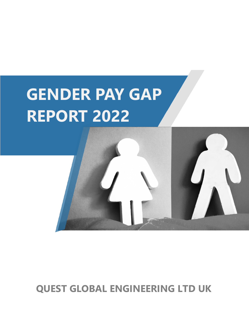# **GENDER PAY GAP REPORT 2022**



**QUEST GLOBAL ENGINEERING LTD UK**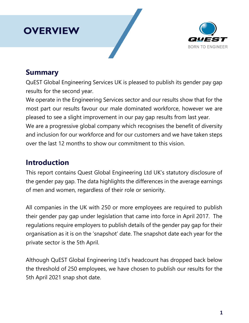



### **Summary**

QuEST Global Engineering Services UK is pleased to publish its gender pay gap results for the second year.

We operate in the Engineering Services sector and our results show that for the most part our results favour our male dominated workforce, however we are pleased to see a slight improvement in our pay gap results from last year. We are a progressive global company which recognises the benefit of diversity and inclusion for our workforce and for our customers and we have taken steps over the last 12 months to show our commitment to this vision.

### **Introduction**

This report contains Quest Global Engineering Ltd UK's statutory disclosure of the gender pay gap. The data highlights the differences in the average earnings of men and women, regardless of their role or seniority.

All companies in the UK with 250 or more employees are required to publish their gender pay gap under legislation that came into force in April 2017. The regulations require employers to publish details of the gender pay gap for their organisation as it is on the 'snapshot' date. The snapshot date each year for the private sector is the 5th April.

Although QuEST Global Engineering Ltd's headcount has dropped back below the threshold of 250 employees, we have chosen to publish our results for the 5th April 2021 snap shot date.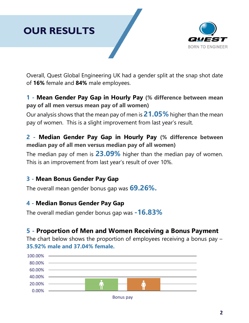# **OUR RESULTS**



Overall, Quest Global Engineering UK had a gender split at the snap shot date of **16%** female and **84%** male employees.

#### **1 - Mean Gender Pay Gap in Hourly Pay (% difference between mean pay of all men versus mean pay of all women)**

Our analysis shows that the mean pay of men is **21.05%** higher than the mean pay of women. This is a slight improvement from last year's result.

#### **2 - Median Gender Pay Gap in Hourly Pay (% difference between median pay of all men versus median pay of all women)**

The median pay of men is **23.09%** higher than the median pay of women. This is an improvement from last year's result of over 10%.

#### **3 - Mean Bonus Gender Pay Gap**

The overall mean gender bonus gap was **69.26%.**

#### **4 - Median Bonus Gender Pay Gap**

The overall median gender bonus gap was **-16.83%**

#### **5 - Proportion of Men and Women Receiving a Bonus Payment**

The chart below shows the proportion of employees receiving a bonus pay – **35.92% male and 37.04% female.**

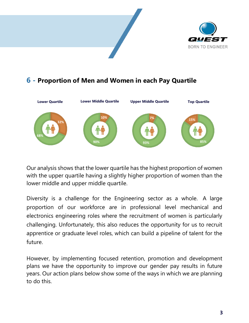



#### **6 - Proportion of Men and Women in each Pay Quartile**



Our analysis shows that the lower quartile has the highest proportion of women with the upper quartile having a slightly higher proportion of women than the lower middle and upper middle quartile.

Diversity is a challenge for the Engineering sector as a whole. A large proportion of our workforce are in professional level mechanical and electronics engineering roles where the recruitment of women is particularly challenging. Unfortunately, this also reduces the opportunity for us to recruit apprentice or graduate level roles, which can build a pipeline of talent for the future.

However, by implementing focused retention, promotion and development plans we have the opportunity to improve our gender pay results in future years. Our action plans below show some of the ways in which we are planning to do this.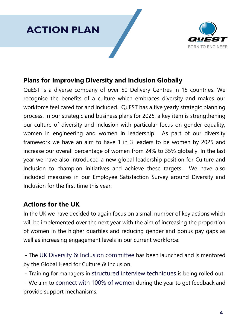## **ACTION PLAN**



#### **Plans for Improving Diversity and Inclusion Globally**

QuEST is a diverse company of over 50 Delivery Centres in 15 countries. We recognise the benefits of a culture which embraces diversity and makes our workforce feel cared for and included. QuEST has a five yearly strategic planning process. In our strategic and business plans for 2025, a key item is strengthening our culture of diversity and inclusion with particular focus on gender equality, women in engineering and women in leadership. As part of our diversity framework we have an aim to have 1 in 3 leaders to be women by 2025 and increase our overall percentage of women from 24% to 35% globally. In the last year we have also introduced a new global leadership position for Culture and Inclusion to champion initiatives and achieve these targets. We have also included measures in our Employee Satisfaction Survey around Diversity and Inclusion for the first time this year.

#### **Actions for the UK**

In the UK we have decided to again focus on a small number of key actions which will be implemented over the next year with the aim of increasing the proportion of women in the higher quartiles and reducing gender and bonus pay gaps as well as increasing engagement levels in our current workforce:

- The UK Diversity & Inclusion committee has been launched and is mentored by the Global Head for Culture & Inclusion.

- Training for managers in structured interview techniques is being rolled out.

- We aim to connect with 100% of women during the year to get feedback and provide support mechanisms.